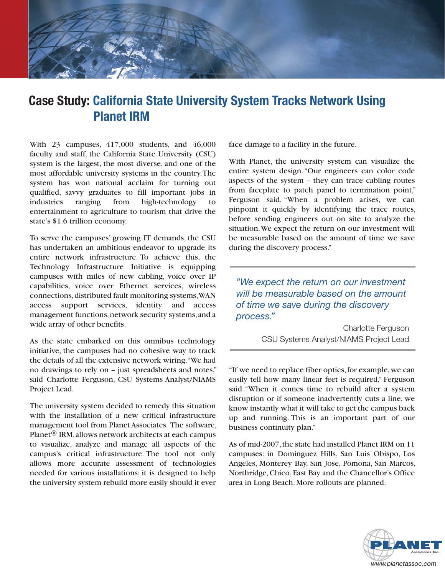

## **Case Study: California State University System Tracks Network Using Planet IRM**

With  $23$  campuses,  $417,000$  students, and  $46,000$ faculty and staff, the California State University (CSU) system is the largest, the most diverse, and one of the most affordable university systems in the country. The system has won national acclaim for turning out qualified, savvy graduates to fill important jobs in industries ranging from high-technology to entertainment to agriculture to tourism that drive the state's \$1.6 trillion economy.

To serve the campuses' growing IT demands, the CSU has undertaken an ambitious endeavor to upgrade its entire network infrastructure. To achieve this, the Technology Infrastructure Initiative is equipping campuses with miles of new cabling, voice over IP capabilities, voice over Ethernet services, wireless connections, distributed fault monitoring systems, WAN access support services, identity and access management functions, network security systems, and a wide array of other benefits.

As the state embarked on this omnibus technology initiative, the campuses had no cohesive way to track the details of all the extensive network wiring. "We had no drawings to rely on - just spreadsheets and notes," said Charlotte Ferguson, CSU Systems Analyst/NIAMS Project Lead.

The university system decided to remedy this situation with the installation of a new critical infrastructure management tool from Planet Associates. The software, Planet<sup>®</sup> IRM, allows network architects at each campus to visualize, analyze and manage all aspects of the campus's critical infrastructure. The tool not only allows more accurate assessment of technologies needed for various installations; it is designed to help the university system rebuild more easily should it ever face damage to a facility in the future.

With Planet, the university system can visualize the entire system design. "Our engineers can color code aspects of the system – they can trace cabling routes from faceplate to patch panel to termination point," Ferguson said. "When a problem arises, we can pinpoint it quickly by identifying the trace routes, before sending engineers out on site to analyze the situation. We expect the return on our investment will be measurable based on the amount of time we save during the discovery process."

*Ne expect the return on our investment will be measurable based on the amount Of time we save during the discovery process.*"

> Charlotte Ferguson CSU Systems Analyst/NIAMS Project Lead

"If we need to replace fiber optics, for example, we can easily tell how many linear feet is required," Ferguson said. "When it comes time to rebuild after a system disruption or if someone inadvertently cuts a line, we know instantly what it will take to get the campus back up and running. This is an important part of our business continuity plan."

As of mid-2007, the state had installed Planet IRM on 11 campuses: in Dominguez Hills, San Luis Obispo, Los Angeles, Monterey Bay, San Jose, Pomona, San Marcos, Northridge, Chico, East Bay and the Chancellor's Office area in Long Beach. More rollouts are planned.